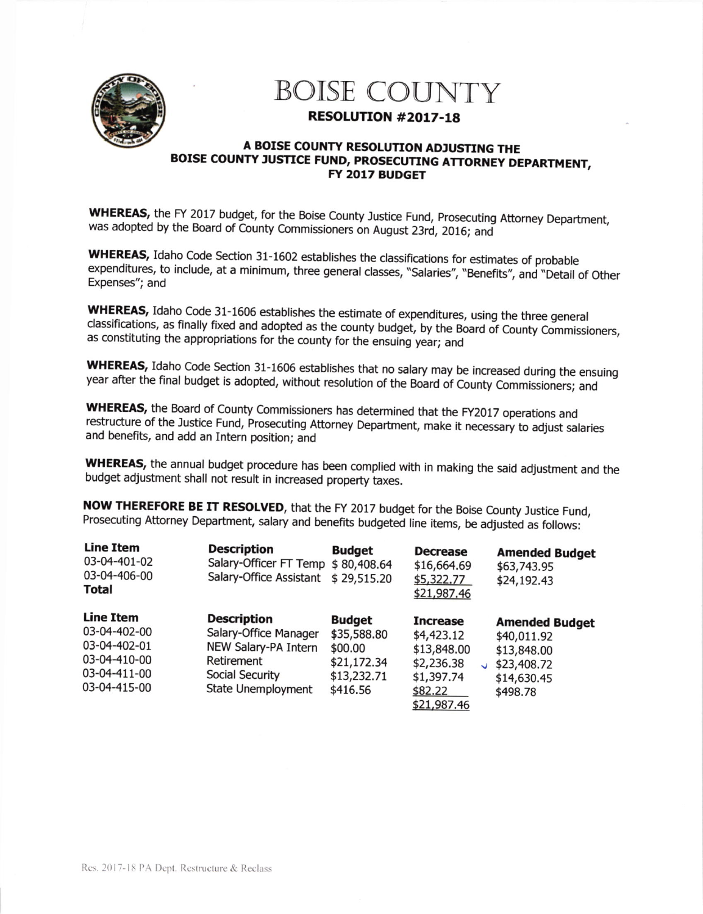

## BOISE COUNTY

## RESOLUTION #2OI7-LA

## A BOISE COUNTY RESOLUTION ADJUSTING THE BOISE COUNTY JUSTICE FUND, PROSECUTING ATTORNEY DEPARTMENT, FY 2OI7 BUDGET

WHEREAS, the FY 2017 budget, for the Boise County Justice Fund, Prosecuting Attorney Department, was adopted by the Board of County Commissioners on August 23rd, 2O16; ani

WHEREAS, Idaho Code Section 31-1602 establishes the classifications for estimates of probable expenditures, to include, at a minimum, three general classes, "Salaries", "Benefits", and "Detail of Other<br>Expenses"; and

WHEREAS, Idaho Code 31-1606 establishes the estimate of expenditures, using the three general classifications, as finally fixed and adopted as the county budget, by the Board of County Commissioners, as constituting the appropriations for the county for the ensuing year; and

WHEREAS, Idaho Code Section 31-1606 establishes that no salary may be increased during the ensuing year after the final budget is adopted, without resolution of the Board of County Commissioners; and

WHEREAS, the Board of County Commissioners has determined that the FY2017 operations and restructure of the Justice Fund, Prosecuting Attorney Department, make it necessary to adjust salaries and benefits, and add an Intern position; and

WHEREAS, the annual budget procedure has been complied with in making the said adjustment and the budget adjustment shall not result in increased property taxes.

NOW THEREFORE BE IT RESOLVED, that the FY 2017 budget for the Boise County Justice Fund, Prosecuting Attorney Department, salary and benefits budgeted line items, be adjusted as follows:

| <b>Line Item</b><br>03-04-401-02<br>03-04-406-00<br><b>Total</b>                                 | <b>Description</b><br>Salary-Officer FT Temp \$ 80,408.64<br>Salary-Office Assistant                                              | <b>Budget</b><br>\$29,515.20                                                      | <b>Decrease</b><br>\$16,664.69<br>\$5,322.77<br>\$21,987.46                                                        | <b>Amended Budget</b><br>\$63,743.95<br>\$24,192.43                                           |  |
|--------------------------------------------------------------------------------------------------|-----------------------------------------------------------------------------------------------------------------------------------|-----------------------------------------------------------------------------------|--------------------------------------------------------------------------------------------------------------------|-----------------------------------------------------------------------------------------------|--|
| <b>Line Item</b><br>03-04-402-00<br>03-04-402-01<br>03-04-410-00<br>03-04-411-00<br>03-04-415-00 | <b>Description</b><br>Salary-Office Manager<br>NEW Salary-PA Intern<br>Retirement<br>Social Security<br><b>State Unemployment</b> | <b>Budget</b><br>\$35,588.80<br>\$00.00<br>\$21,172.34<br>\$13,232.71<br>\$416.56 | <b>Increase</b><br>\$4,423.12<br>\$13,848.00<br>\$2,236.38<br>$\mathbf{v}$<br>\$1,397.74<br>\$82.22<br>\$21,987.46 | <b>Amended Budget</b><br>\$40,011.92<br>\$13,848.00<br>\$23,408.72<br>\$14,630.45<br>\$498.78 |  |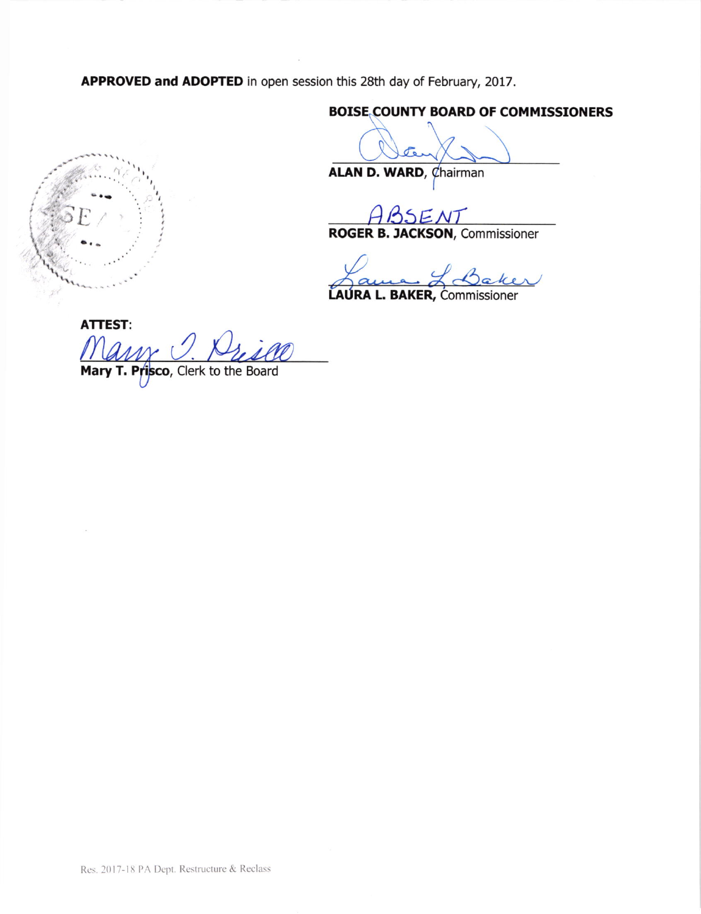APPROVED and ADOPTED in open session this 28th day of February, 2017.



**BOISE COUNTY BOARD OF COMMISSIONERS** 

ALAN D. WARD, Chairman

**BSENT ROGER B. JACKSON, Commissioner** 

LAURA L. BAKER, Commissioner

**ATTEST:** 

Mary T. Prisco, Clerk to the Board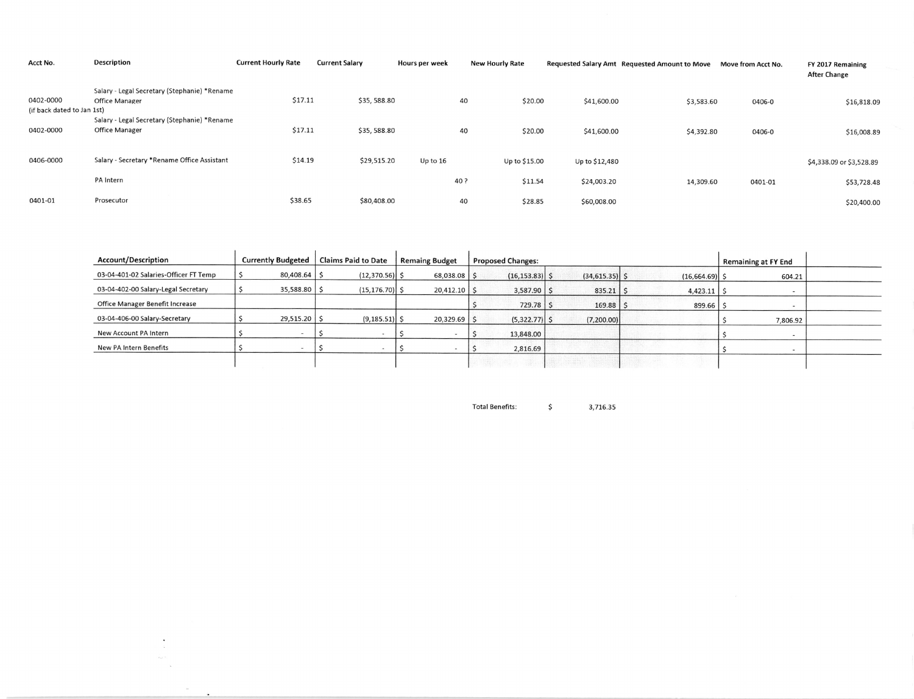| Acct No.                                | <b>Description</b>                                                    | <b>Current Hourly Rate</b> | <b>Current Salary</b> | Hours per week | <b>New Hourly Rate</b> |                | Requested Salary Amt Requested Amount to Move | Move from Acct No. | FY 2017 Remaining<br><b>After Change</b> |
|-----------------------------------------|-----------------------------------------------------------------------|----------------------------|-----------------------|----------------|------------------------|----------------|-----------------------------------------------|--------------------|------------------------------------------|
| 0402-0000<br>(if back dated to Jan 1st) | Salary - Legal Secretary (Stephanie) *Rename<br><b>Office Manager</b> | \$17.11                    | \$35,588.80           | 40             | \$20.00                | \$41,600.00    | \$3,583.60                                    | 0406-0             | \$16,818.09                              |
| 0402-0000                               | Salary - Legal Secretary (Stephanie) *Rename<br><b>Office Manager</b> | \$17.11                    | \$35,588.80           | 40             | \$20.00                | \$41,600.00    | \$4,392.80                                    | 0406-0             | \$16,008.89                              |
| 0406-0000                               | Salary - Secretary *Rename Office Assistant                           | \$14.19                    | \$29,515.20           | Up to $16$     | Up to \$15.00          | Up to \$12,480 |                                               |                    | \$4,338.09 or \$3,528.89                 |
|                                         | PA Intern                                                             |                            |                       | 40 ?           | \$11.54                | \$24,003.20    | 14,309.60                                     | 0401-01            | \$53,728.48                              |
| 0401-01                                 | Prosecutor                                                            | \$38.65                    | \$80,408.00           | 40             | \$28.85                | \$60,008.00    |                                               |                    | \$20,400.00                              |

| <b>Account/Description</b>             | <b>Currently Budgeted</b> |                  | <b>Claims Paid to Date</b> | <b>Remaing Budget</b> | <b>Proposed Changes:</b> |                   |  |                   |  |                  | <b>Remaining at FY End</b> |                |
|----------------------------------------|---------------------------|------------------|----------------------------|-----------------------|--------------------------|-------------------|--|-------------------|--|------------------|----------------------------|----------------|
| 03-04-401-02 Salaries-Officer FT Temp  |                           | $80,408.64$ \ \$ | $(12,370.56)$ \$           | 68,038.08 \$          |                          | $(16, 153.83)$ \$ |  | $(34, 615.35)$ \$ |  | $(16,664.69)$ \$ |                            | 604.21         |
| 03-04-402-00 Salary-Legal Secretary    |                           | 35,588.80   \$   | $(15, 176.70)$ \$          | $20,412.10$ \$        |                          | $3,587.90$ \$     |  | 835.21            |  | 4,423.11         |                            | $\sim$         |
| <b>Office Manager Benefit Increase</b> |                           |                  |                            |                       |                          | $729.78$ \ \$     |  | 169.88            |  | 899.66           |                            | $\overline{a}$ |
| 03-04-406-00 Salary-Secretary          |                           | $29,515.20$   \$ | (9, 185.51)                | $20,329.69$ \$        |                          | $(5,322.77)$ \$   |  | (7,200.00)        |  |                  |                            | 7,806.92       |
| New Account PA Intern                  |                           |                  | $\sim$                     |                       |                          | 13,848.00         |  |                   |  |                  |                            |                |
| <b>New PA Intern Benefits</b>          |                           |                  |                            |                       |                          | 2,816.69          |  |                   |  |                  |                            |                |
|                                        |                           |                  |                            |                       |                          |                   |  |                   |  |                  |                            |                |

 $\frac{1}{2}$  $\sim$ 

> $\sim$   $\alpha$  $\ddot{\phantom{a}}$

**Total Benefits:**  $\mathsf{S}$ 3,716.35